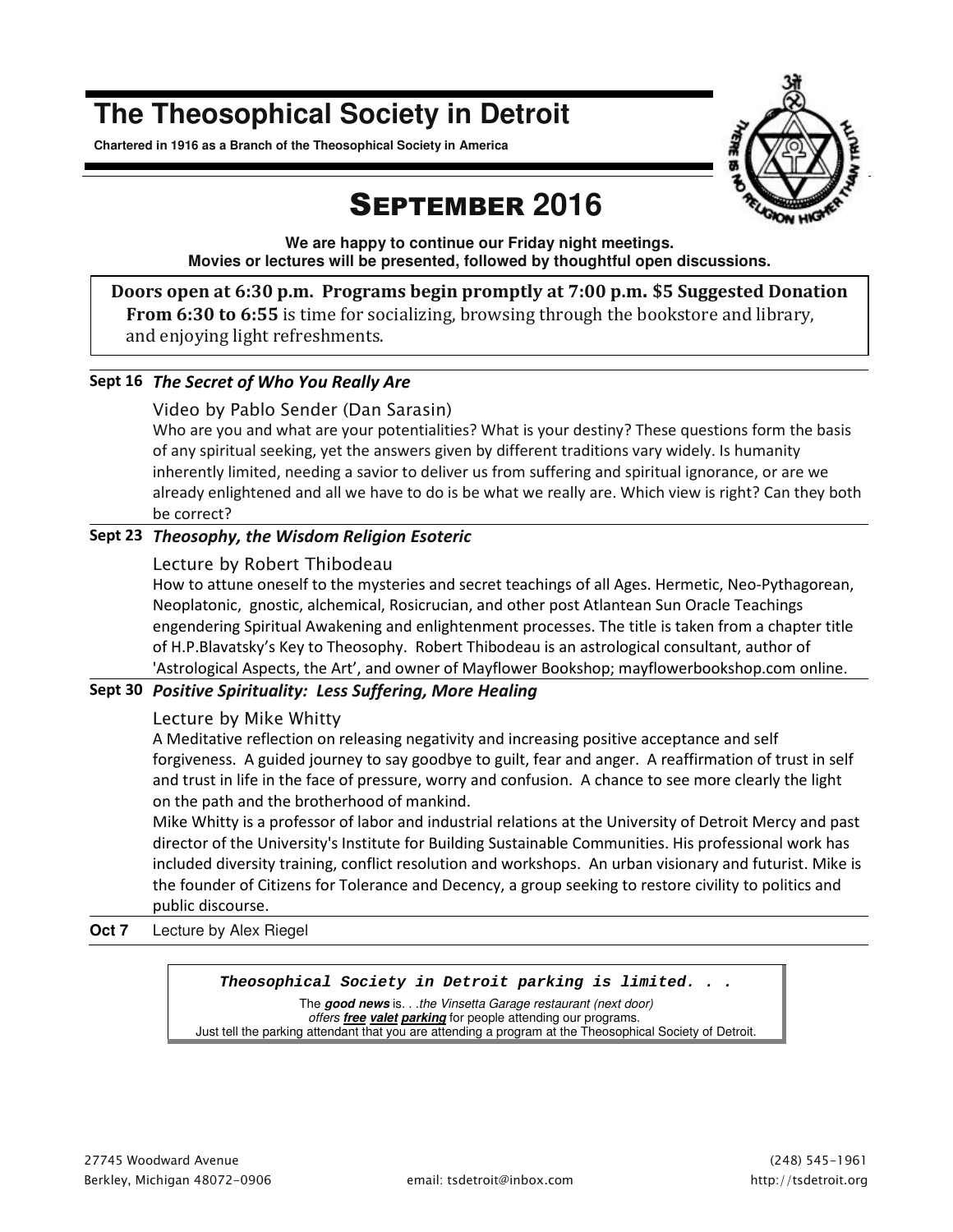# **The Theosophical Society in Detroit**

**Chartered in 1916 as a Branch of the Theosophical Society in America** 



# SEPTEMBER **2016**

**We are happy to continue our Friday night meetings. Movies or lectures will be presented, followed by thoughtful open discussions.** 

**Doors open at 6:30 p.m. Programs begin promptly at 7:00 p.m. \$5 Suggested Donation From 6:30 to 6:55** is time for socializing, browsing through the bookstore and library, and enjoying light refreshments.

### **Sept 16** *The Secret of Who You Really Are*

#### *Video by Pablo Sender (Dan Sarasin)*

Who are you and what are your potentialities? What is your destiny? These questions form the basis of any spiritual seeking, yet the answers given by different traditions vary widely. Is humanity inherently limited, needing a savior to deliver us from suffering and spiritual ignorance, or are we already enlightened and all we have to do is be what we really are. Which view is right? Can they both be correct?

### **Sept 23** *Theosophy, the Wisdom Religion Esoteric*

### *Lecture by Robert Thibodeau*

How to attune oneself to the mysteries and secret teachings of all Ages. Hermetic, Neo-Pythagorean, Neoplatonic, gnostic, alchemical, Rosicrucian, and other post Atlantean Sun Oracle Teachings engendering Spiritual Awakening and enlightenment processes. The title is taken from a chapter title of H.P.Blavatsky's Key to Theosophy. Robert Thibodeau is an astrological consultant, author of 'Astrological Aspects, the Art', and owner of Mayflower Bookshop; mayflowerbookshop.com online.

### **Sept 30** *Positive Spirituality: Less Suffering, More Healing*

### *Lecture by Mike Whitty*

A Meditative reflection on releasing negativity and increasing positive acceptance and self forgiveness. A guided journey to say goodbye to guilt, fear and anger. A reaffirmation of trust in self and trust in life in the face of pressure, worry and confusion. A chance to see more clearly the light on the path and the brotherhood of mankind.

Mike Whitty is a professor of labor and industrial relations at the University of Detroit Mercy and past director of the University's Institute for Building Sustainable Communities. His professional work has included diversity training, conflict resolution and workshops. An urban visionary and futurist. Mike is the founder of Citizens for Tolerance and Decency, a group seeking to restore civility to politics and public discourse.

#### **Oct 7** Lecture by Alex Riegel

### *Theosophical Society in Detroit parking is limited. . .*

The **good news** is. . .the Vinsetta Garage restaurant (next door) offers **free valet parking** for people attending our programs. Just tell the parking attendant that you are attending a program at the Theosophical Society of Detroit.